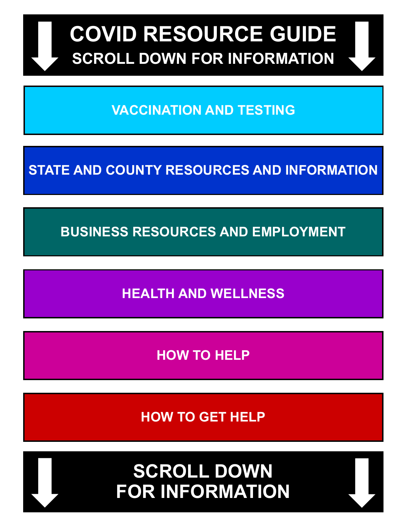

**VACCINATION AND TESTING**

**STATE AND COUNTY RESOURCES AND INFORMATION**

**BUSINESS RESOURCES AND EMPLOYMENT**

**HEALTH AND WELLNESS**

**HOW TO HELP**

**HOW TO GET HELP**

**SCROLL DOWN FOR INFORMATION**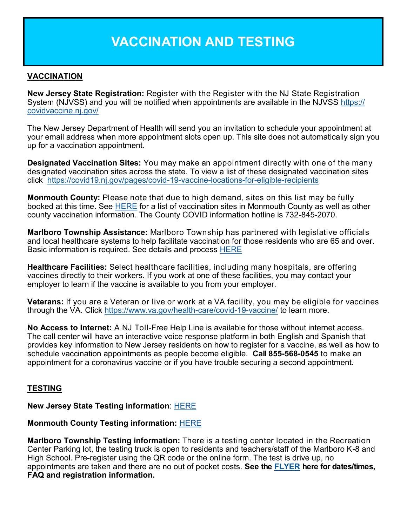## **VACCINATION AND TESTING**

## **VACCINATION**

**New Jersey State Registration:** Register with the Register with the NJ State Registration System (NJVSS) and you will be notified when appointments are available in the NJVSS [https://](https://covidvaccine.nj.gov/) [covidvaccine.nj.gov/](https://covidvaccine.nj.gov/)

The New Jersey Department of Health will send you an invitation to schedule your appointment at your email address when more appointment slots open up. This site does not automatically sign you up for a vaccination appointment.

**Designated Vaccination Sites:** You may make an appointment directly with one of the many designated vaccination sites across the state. To view a list of these designated vaccination sites click [https://covid19.nj.gov/pages/covid](https://covid19.nj.gov/pages/covid-19-vaccine-locations-for-eligible-recipients)-19-vaccine-locations-for-eligible-recipients

**Monmouth County:** Please note that due to high demand, sites on this list may be fully booked at this time. See [HERE](https://www.visitmonmouth.com/Page.aspx?Id=5120) for a list of vaccination sites in Monmouth County as well as other county vaccination information. The County COVID information hotline is 732-845-2070.

**Marlboro Township Assistance:** Marlboro Township has partnered with legislative officials and local healthcare systems to help facilitate vaccination for those residents who are 65 and over. Basic information is required. See details and process [HERE](https://marlboro-nj.gov/images/notices/2021/Senior-Vaccine-Registration-Municipality-Email.pdf)

**Healthcare Facilities:** Select healthcare facilities, including many hospitals, are offering vaccines directly to their workers. If you work at one of these facilities, you may contact your employer to learn if the vaccine is available to you from your employer.

**Veterans:** If you are a Veteran or live or work at a VA facility, you may be eligible for vaccines through the VA. Click [https://www.va.gov/health](https://www.va.gov/health-care/covid-19-vaccine/)-care/covid-19-vaccine/ to learn more.

**No Access to Internet:** A NJ Toll-Free Help Line is available for those without internet access. The call center will have an interactive voice response platform in both English and Spanish that provides key information to New Jersey residents on how to register for a vaccine, as well as how to schedule vaccination appointments as people become eligible. **Call 855-568-0545** to make an appointment for a coronavirus vaccine or if you have trouble securing a second appointment.

## **TESTING**

## **New Jersey State Testing information**: [HERE](https://covid19.nj.gov/pages/testing)

#### **Monmouth County Testing information:** [HERE](https://www.visitmonmouth.com/page.aspx?Id=5151)

**Marlboro Township Testing information:** There is a testing center located in the Recreation Center Parking lot, the testing truck is open to residents and teachers/staff of the Marlboro K-8 and High School. Pre-register using the QR code or the online form. The test is drive up, no appointments are taken and there are no out of pocket costs. **See the [FLYER](https://www.marlboro-nj.gov/images/notices/2020/COVID-test-immediate-care-rec-centerMarlboro.pdf) here for dates/times, FAQ and registration information.**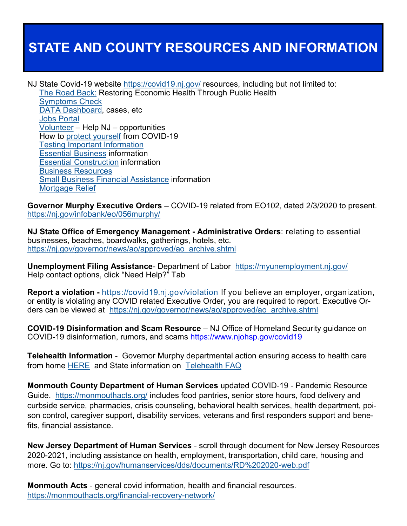## **STATE AND COUNTY RESOURCES AND INFORMATION**

NJ State Covid-19 website <https://covid19.nj.gov/> resources, including but not limited to:

[The Road Back:](https://covid19.nj.gov/pages/reopen) Restoring Economic Health Through Public Health [Symptoms Check](https://self.covid19.nj.gov/) [DATA Dashboard,](https://covid19.nj.gov/index.html#live-updates) cases, etc [Jobs Portal](https://jobs.covid19.nj.gov/index.html?Facets.filterbox.filter0=%5B%5D&Facets.filterbox.filter1=%5B%5D) [Volunteer](https://covid19.nj.gov/search.html?query=volunteer) – Help NJ – opportunities How to [protect yourself](https://covid19.nj.gov/faqs/nj-information/general-public/how-can-i-protect-myself-from-covid-19/novel-coronavirus) from COVID-19 [Testing Important Information](https://covid19.nj.gov/faqs/nj-information/general-public/where-and-how-do-i-get-tested-for-covid-19-in-new-jersey-who-should-get-testing) [Essential Business](https://covid19.nj.gov/faqs/nj-information/general-public/what-businesses-are-closed-what-is-considered-essential) information [Essential Construction](https://covid19.nj.gov/search.html?query=essential+construction) information [Business Resources](https://covid19.nj.gov/faqs/nj-information/businesses-and-organizations/where-can-i-learn-more-about-information-on-covid-19s-impact-on-businesses-and-what-resources-are-available-to-help) [Small Business Financial Assistance](https://faq.business.nj.gov/en/articles/3789809-what-financial-assistance-is-available-from-the-u-s-small-business-administration-sba) information [Mortgage Relief](https://www.state.nj.us/dobi/covid/mortgagerelief.html)

**Governor Murphy Executive Orders** – COVID-19 related from EO102, dated 2/3/2020 to present. <https://nj.gov/infobank/eo/056murphy/>

**NJ State Office of Emergency Management - Administrative Orders**: relating to essential businesses, beaches, boardwalks, gatherings, hotels, etc. [https://nj.gov/governor/news/ao/approved/ao\\_archive.shtml](https://nj.gov/governor/news/ao/approved/ao_archive.shtml)

**Unemployment Filing Assistance**- Department of Labor <https://myunemployment.nj.gov/> Help contact options, click "Need Help?" Tab

**Report a violation -** <https://covid19.nj.gov/violation> If you believe an employer, organization, or entity is violating any COVID related Executive Order, you are required to report. Executive Orders can be viewed at [https://nj.gov/governor/news/ao/approved/ao\\_archive.shtml](https://nj.gov/governor/news/ao/approved/ao_archive.shtml)

**COVID-19 Disinformation and Scam Resource** – NJ Office of Homeland Security guidance on COVID-19 disinformation, rumors, and scams <https://www.njohsp.gov/covid19>

**Telehealth Information** - Governor Murphy departmental action ensuring access to health care from home [HERE](https://www.state.nj.us/humanservices/news/press/2020/approved/20200323.html) and State information on [Telehealth FAQ](https://covid19.nj.gov/search.html?query=telehealth)

**Monmouth County Department of Human Services** updated COVID-19 - Pandemic Resource Guide. <https://monmouthacts.org/> includes food pantries, senior store hours, food delivery and curbside service, pharmacies, crisis counseling, behavioral health services, health department, poison control, caregiver support, disability services, veterans and first responders support and benefits, financial assistance.

**New Jersey Department of Human Services** - scroll through document for New Jersey Resources 2020-2021, including assistance on health, employment, transportation, child care, housing and more. Go to: [https://nj.gov/humanservices/dds/documents/RD%202020](https://nj.gov/humanservices/dds/documents/RD%202020-web.pdf)-web.pdf

**Monmouth Acts** - general covid information, health and financial resources. [https://monmouthacts.org/financial](https://monmouthacts.org/financial-recovery-network/)-recovery-network/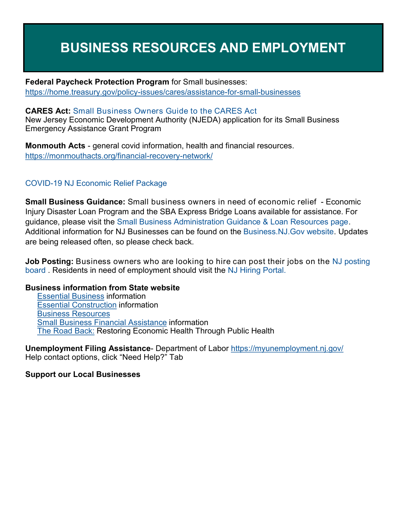## **BUSINESS RESOURCES AND EMPLOYMENT**

**Federal Paycheck Protection Program** for Small businesses: [https://home.treasury.gov/policy](https://home.treasury.gov/policy-issues/cares/assistance-for-small-businesses)-issues/cares/assistance-for-small-businesses

#### **CARES Act:** [Small Business Owners Guide to the CARES Act](https://www.marlboro-nj.gov/images/notices/Small-Business-Owners-Guide-CARES-Act.pdf)

New Jersey Economic Development Authority (NJEDA) application for its Small Business Emergency Assistance Grant Program

**Monmouth Acts** - general covid information, health and financial resources. [https://monmouthacts.org/financial](https://monmouthacts.org/financial-recovery-network/)-recovery-network/

## COVID-[19 NJ Economic Relief Package](http://www.marlboro-nj.gov/images/notices/COVID19-NJEDA-Programs-1-Pager-Final.pdf)

**Small Business Guidance:** Small business owners in need of economic relief - Economic Injury Disaster Loan Program and the SBA Express Bridge Loans available for assistance. For guidance, please visit the [Small Business Administration Guidance & Loan Resources page.](https://www.sba.gov/page/coronavirus-covid-19-small-business-guidance-loan-resources)  Additional information for NJ Businesses can be found on the [Business.NJ.Gov website.](https://faq.business.nj.gov/en/collections/2198378-information-for-nj-businesses-on-the-coronavirus-outbreak) Updates are being released often, so please check back.

**Job Posting:** Business owners who are looking to hire can post their jobs on the NJ posting [board](https://jobs.covid19.nj.gov/intake) . Residents in need of employment should visit the [NJ Hiring Portal.](https://jobs.covid19.nj.gov/)

#### **Business information from State website**

[Essential Business](https://covid19.nj.gov/faqs/nj-information/general-public/what-businesses-are-closed-what-is-considered-essential) information [Essential Construction](https://covid19.nj.gov/search.html?query=essential+construction) information [Business Resources](https://covid19.nj.gov/faqs/nj-information/businesses-and-organizations/where-can-i-learn-more-about-information-on-covid-19s-impact-on-businesses-and-what-resources-are-available-to-help) [Small Business Financial Assistance](https://faq.business.nj.gov/en/articles/3789809-what-financial-assistance-is-available-from-the-u-s-small-business-administration-sba) information [The Road Back:](https://covid19.nj.gov/faqs/announcements/all-announcements/governor-murphy-announces-%E2%80%9Cthe-road-back:-restoring-economic-health-through-public-health%E2%80%9D) Restoring Economic Health Through Public Health

**Unemployment Filing Assistance**- Department of Labor <https://myunemployment.nj.gov/> Help contact options, click "Need Help?" Tab

#### **Support our Local Businesses**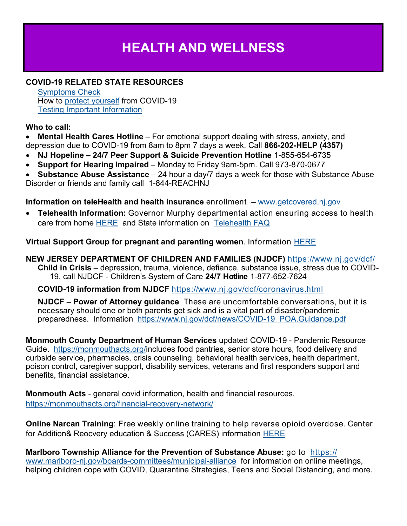# **HEALTH AND WELLNESS**

## **COVID-19 RELATED STATE RESOURCES**

[Symptoms Check](https://self.covid19.nj.gov/) How to [protect yourself](https://covid19.nj.gov/faqs/nj-information/general-public/how-can-i-protect-myself-from-covid-19/novel-coronavirus) from COVID-19 [Testing Important Information](https://covid19.nj.gov/faqs/nj-information/general-public/where-and-how-do-i-get-tested-for-covid-19-in-new-jersey-who-should-get-testing)

### **Who to call:**

 **Mental Health Cares Hotline** – For emotional support dealing with stress, anxiety, and depression due to COVID-19 from 8am to 8pm 7 days a week. Call **866-202-HELP (4357)**

- **NJ Hopeline – 24/7 Peer Support & Suicide Prevention Hotline** 1-855-654-6735
- **Support for Hearing Impaired** Monday to Friday 9am-5pm. Call 973-870-0677
- **Substance Abuse Assistance** 24 hour a day/7 days a week for those with Substance Abuse Disorder or friends and family call 1-844-REACHNJ

## **Information on teleHealth and health insurance** enrollment – [www.getcovered.nj.gov](http://www.getcovered.nj.gov/)

 **Telehealth Information:** Governor Murphy departmental action ensuring access to health care from home [HERE](https://www.state.nj.us/humanservices/news/press/2020/approved/20200323.html) and State information on [Telehealth FAQ](https://covid19.nj.gov/search.html?query=telehealth)

### **Virtual Support Group for pregnant and parenting women**. Information [HERE](http://www.marlboro-nj.gov/images/notices/2020/Covid-PDF-PAPP-support-group-3.pdf)

**NEW JERSEY DEPARTMENT OF CHILDREN AND FAMILIES (NJDCF)** <https://www.nj.gov/dcf/> **Child in Crisis** – depression, trauma, violence, defiance, substance issue, stress due to COVID-19, call NJDCF - Children's System of Care **24/7 Hotline** 1-877-652-7624

**COVID-19 information from NJDCF** <https://www.nj.gov/dcf/coronavirus.html>

**NJDCF** – **Power of Attorney guidance** These are uncomfortable conversations, but it is necessary should one or both parents get sick and is a vital part of disaster/pandemic preparedness. Information [https://www.nj.gov/dcf/news/COVID](https://www.nj.gov/dcf/news/COVID-19_POA.Guidance.pdf)-19\_POA.Guidance.pdf

**Monmouth County Department of Human Services** updated COVID-19 - Pandemic Resource Guide. [https://monmouthacts.org/i](https://monmouthacts.org/)ncludes food pantries, senior store hours, food delivery and curbside service, pharmacies, crisis counseling, behavioral health services, health department, poison control, caregiver support, disability services, veterans and first responders support and benefits, financial assistance.

**Monmouth Acts** - general covid information, health and financial resources. [https://monmouthacts.org/financial](https://monmouthacts.org/financial-recovery-network/)-recovery-network/

**Online Narcan Training**: Free weekly online training to help reverse opioid overdose. Center for Addition& Reocvery education & Success (CARES) information [HERE](https://files.constantcontact.com/3b5eafbc501/5b7f71e4-2d8a-4aa0-9455-a296c8de9d1c.png)

**Marlboro Township Alliance for the Prevention of Substance Abuse:** go to [https://](https://www.marlboro-nj.gov/boards-committees/municipal-alliance) www.marlboro-nj.gov/boards-[committees/municipal](https://www.marlboro-nj.gov/boards-committees/municipal-alliance)-alliance for information on online meetings, helping children cope with COVID, Quarantine Strategies, Teens and Social Distancing, and more.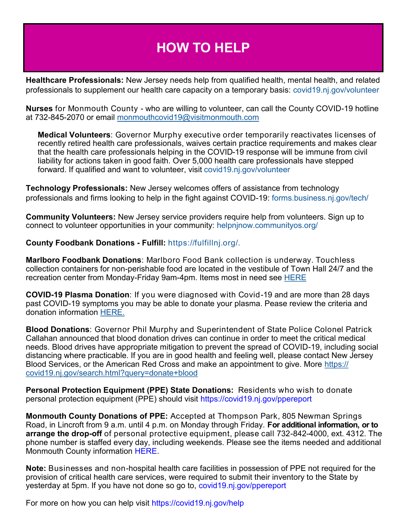## **HOW TO HELP**

**Healthcare Professionals:** New Jersey needs help from qualified health, mental health, and related professionals to supplement our health care capacity on a temporary basis: [covid19.nj.gov/volunteer](http://covid19.nj.gov/volunteer)

**Nurses** for Monmouth County - who are willing to volunteer, can call the County COVID-19 hotline at 732-845-2070 or email [monmouthcovid19@visitmonmouth.com](mailto:monmouthcovid19@visitmonmouth.com)

**Medical Volunteers**: Governor Murphy executive order temporarily reactivates licenses of recently retired health care professionals, waives certain practice requirements and makes clear that the health care professionals helping in the COVID-19 response will be immune from civil liability for actions taken in good faith. Over 5,000 health care professionals have stepped forward. If qualified and want to volunteer, visit [covid19.nj.gov/volunteer](https://covid19.nj.gov/volunteer)

**Technology Professionals:** New Jersey welcomes offers of assistance from technology professionals and firms looking to help in the fight against COVID-19: [forms.business.nj.gov/tech/](https://forms.business.nj.gov/tech/)

**Community Volunteers:** New Jersey service providers require help from volunteers. Sign up to connect to volunteer opportunities in your community: [helpnjnow.communityos.org/](https://helpnjnow.communityos.org/)

#### **County Foodbank Donations - Fulfill:** [https://fulfillnj.org/.](https://fulfillnj.org/)

**Marlboro Foodbank Donations**: Marlboro Food Bank collection is underway. Touchless collection containers for non-perishable food are located in the vestibule of Town Hall 24/7 and the recreation center from Monday-Friday 9am-4pm. Items most in need see [HERE](https://www.marlboro-nj.gov/images/notices/2020/Food-Bank-Donation.pdf)

**COVID-19 Plasma Donation**: If you were diagnosed with Covid-19 and are more than 28 days past COVID-19 symptoms you may be able to donate your plasma. Pease review the criteria and donation information [HERE.](https://www.marlboro-nj.gov/images/notices/2020/COVID-19-Convalescent-Plasma-ProgramRWJH.pdf)

**Blood Donations**: Governor Phil Murphy and Superintendent of State Police Colonel Patrick Callahan announced that blood donation drives can continue in order to meet the critical medical needs. Blood drives have appropriate mitigation to prevent the spread of COVID-19, including social distancing where practicable. If you are in good health and feeling well, please contact New Jersey Blood Services, or the American Red Cross and make an appointment to give. More [https://](https://covid19.nj.gov/search.html?query=donate+blood) [covid19.nj.gov/search.html?query=donate+blood](https://covid19.nj.gov/search.html?query=donate+blood)

**Personal Protection Equipment (PPE) State Donations:** Residents who wish to donate personal protection equipment (PPE) should visit <https://covid19.nj.gov/ppereport>

**Monmouth County Donations of PPE:** Accepted at Thompson Park, 805 Newman Springs Road, in Lincroft from 9 a.m. until 4 p.m. on Monday through Friday. **For additional information, or to arrange the drop-off** of personal protective equipment, please call 732-842-4000, ext. 4312. The phone number is staffed every day, including weekends. Please see the items needed and additional Monmouth County information [HERE.](https://co.monmouth.nj.us/PressDetail.aspx?ID=2813)

**Note:** Businesses and non-hospital health care facilities in possession of PPE not required for the provision of critical health care services, were required to submit their inventory to the State by yesterday at 5pm. If you have not done so go to, [covid19.nj.gov/ppereport](https://covid19.nj.gov/ppereport)

For more on how you can help visit <https://covid19.nj.gov/help>